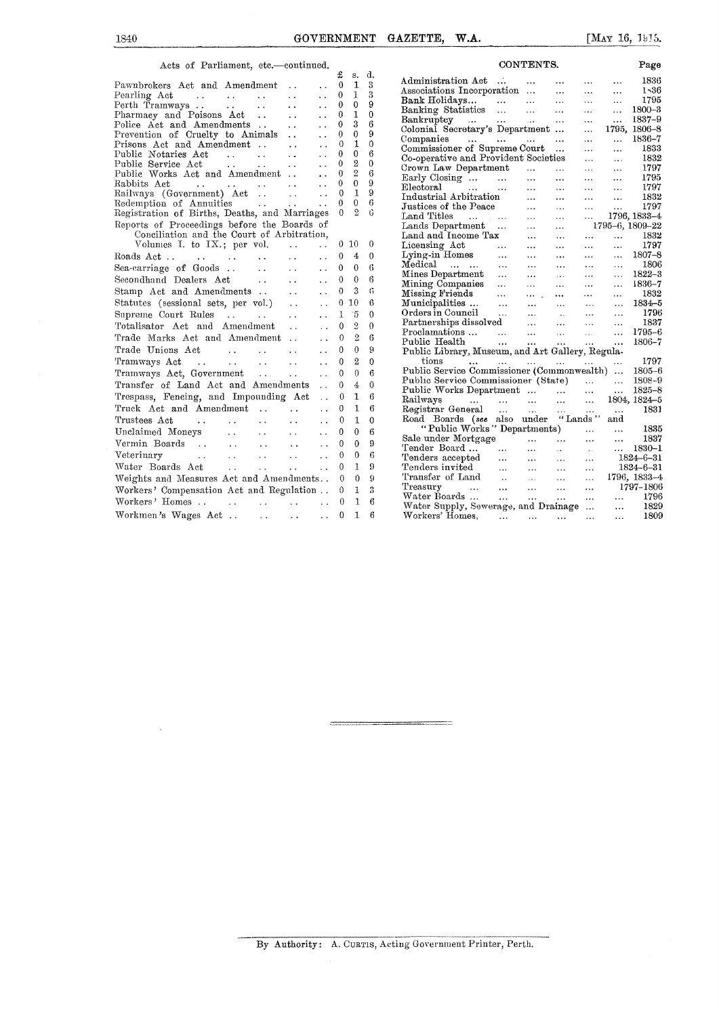## CONTENTS.

| Acts of Parliament, etc.-continued.                                                                                                               |                           |                                                                                        |                                                           |                                              |              |                     |                |
|---------------------------------------------------------------------------------------------------------------------------------------------------|---------------------------|----------------------------------------------------------------------------------------|-----------------------------------------------------------|----------------------------------------------|--------------|---------------------|----------------|
|                                                                                                                                                   |                           |                                                                                        |                                                           |                                              | £            | s.                  | đ.             |
| Pawnbrokers Act and Amendment                                                                                                                     |                           |                                                                                        | $\ddot{\phantom{a}}$                                      | $\ddot{\phantom{0}}$                         | 0<br>0       | 1<br>$\mathbf{1}$   | 3<br>3         |
|                                                                                                                                                   |                           |                                                                                        |                                                           | i.<br>$\ddot{\phantom{0}}$                   | 0            | 0                   | 9              |
|                                                                                                                                                   |                           |                                                                                        |                                                           | $\ddot{\phantom{0}}$                         | 0            | $\mathbf{I}$        | $\overline{0}$ |
| Police Act and Amendments                                                                                                                         |                           |                                                                                        | $\ddotsc$                                                 |                                              | 0            | 3                   | 6              |
| Prevention of Cruelty to Animals                                                                                                                  |                           |                                                                                        |                                                           | $\ddotsc$                                    | 0            | 0                   | 9              |
| Prisons Act and Amendment<br>Public Notaries Act                                                                                                  |                           |                                                                                        | $\sim 10^7$                                               | $\ddot{\phantom{a}}$                         | 0            | 1                   | 0              |
|                                                                                                                                                   |                           |                                                                                        | $\sim 10^{-1}$                                            | $\ddot{\phantom{0}}$                         | 0            | 0                   | 6              |
| Public Service Act.                                                                                                                               |                           | $\mathbf{r}$ , $\mathbf{r}$ , $\mathbf{r}$ , $\mathbf{r}$                              | $\sim 10^{-1}$                                            | $\ddot{\phantom{0}}$                         | 0            | $\overline{2}$      | $\theta$       |
| Public Works Act and Amendment<br>Public works<br>Rabbits Act<br>Railways (Government) Act<br>Annuities<br>Annuities                              |                           |                                                                                        |                                                           | $\ddot{\phantom{a}}$                         | 0<br>0       | $\overline{2}$<br>0 | 6<br>9         |
|                                                                                                                                                   |                           |                                                                                        |                                                           | $\ddot{\phantom{0}}$<br>$\ddot{\phantom{0}}$ | 0            | $\mathbf{1}$        | 9              |
|                                                                                                                                                   |                           |                                                                                        |                                                           | $\ddot{\phantom{0}}$                         | 0            | 0                   | 6              |
| Registration of Births, Deaths, and Marriages                                                                                                     |                           |                                                                                        |                                                           |                                              | 0            | 9.                  | 6              |
| Reports of Proceedings before the Boards of                                                                                                       |                           |                                                                                        |                                                           |                                              |              |                     |                |
| Conciliation and the Court of Arbitration,                                                                                                        |                           |                                                                                        |                                                           |                                              |              |                     |                |
| Volumes I. to IX.; per vol.                                                                                                                       |                           |                                                                                        | $\ddot{\phantom{0}}$                                      | $\ddot{\phantom{0}}$                         | 0            | 10                  | 0              |
|                                                                                                                                                   |                           |                                                                                        |                                                           | $\ddot{\phantom{0}}$                         | $\mathbf{0}$ | 4                   | 0              |
| Sea-carriage of Goods                                                                                                                             | $\frac{1}{2}$             |                                                                                        | $\ddotsc$                                                 | $\ddot{\phantom{0}}$                         | 0            | $\bf{0}$            | $\overline{6}$ |
| Secondhand Dealers Act                                                                                                                            |                           |                                                                                        | $\sim$                                                    | $\ddot{\phantom{0}}$                         | 0            | 0                   | 6              |
| Stamp Act and Amendments                                                                                                                          |                           |                                                                                        | $\sim 10^{-1}$                                            | $\ddot{\phantom{0}}$                         | 0            | 3                   | 6              |
| Statutes (sessional sets, per vol.)                                                                                                               |                           |                                                                                        |                                                           | $\ddot{\phantom{a}}$                         | $\Omega$     | 10                  | 6              |
| Supreme Court Rules                                                                                                                               |                           | $\mathcal{L}(\mathbf{x},\mathbf{y})$ . The set of $\mathcal{L}(\mathbf{x},\mathbf{y})$ |                                                           | $\ddot{\phantom{0}}$                         | 1            | 15                  | 0              |
| Totalisator Act and Amendment                                                                                                                     |                           |                                                                                        |                                                           | $\ddot{\phantom{a}}$                         | 0            | $\overline{2}$      | 0              |
| Trade Marks Act and Amendment                                                                                                                     |                           |                                                                                        |                                                           | $\ddot{\phantom{a}}$                         | 0            | $\overline{2}$      | 6              |
| Trade Unions Act                                                                                                                                  | $\sim 0.4$ and $\sim 0.4$ | $\sim 100$ km $^{-1}$                                                                  |                                                           | $\ddot{\phantom{0}}$                         | 0            | $\theta$            | ä              |
|                                                                                                                                                   |                           |                                                                                        |                                                           | $\ddot{\phantom{0}}$                         | 0            | 2                   | $\mathbf{0}$   |
|                                                                                                                                                   |                           |                                                                                        |                                                           | $\ddot{\phantom{0}}$                         | 0            | $\theta$            | 6              |
| Transfer of Land Act and Amendments                                                                                                               |                           |                                                                                        |                                                           | $\ddot{\phantom{0}}$                         | 0            | $\overline{4}$      | $\theta$       |
| Trespass, Fencing, and Impounding Act                                                                                                             |                           |                                                                                        |                                                           | $\ddot{\phantom{a}}$                         | 0            | 1                   | 6              |
| Truck Act and Amendment                                                                                                                           |                           |                                                                                        |                                                           |                                              | 0            | 1                   | 6              |
| Trustees Act<br>$\mathcal{L}^{\mathcal{A}}$ , and $\mathcal{L}^{\mathcal{A}}$ , and $\mathcal{L}^{\mathcal{A}}$ , and $\mathcal{L}^{\mathcal{A}}$ |                           |                                                                                        | $\mathbf{L}$                                              | $\ddot{\phantom{0}}$                         | 0            | $\mathbf{1}$        | 0              |
| Unclaimed Moneys                                                                                                                                  |                           | <b>Alan Albert</b>                                                                     | $\mathbf{r}$ , $\mathbf{r}$ , $\mathbf{r}$ , $\mathbf{r}$ | $\ddot{\phantom{0}}$                         | 0            | 0                   | 6              |
| Vermin Boards                                                                                                                                     |                           |                                                                                        |                                                           | $\ddot{\phantom{0}}$                         | 0            | $\theta$            | 9              |
| $Veterinary$ . $\cdots$ .                                                                                                                         |                           |                                                                                        |                                                           | $\cdot$                                      | 0            | 0                   | 6              |
| Water Boards Act<br>$\mathcal{L}^{\text{max}}$ , $\mathcal{L}^{\text{max}}$                                                                       |                           | <b>Section</b>                                                                         | $\ddotsc$                                                 | $\ddot{\phantom{0}}$                         | 0            | $\mathbf{1}$        | 9              |
| Weights and Measures Act and Amendments                                                                                                           |                           |                                                                                        |                                                           |                                              | 0            | $\theta$            | 9              |
| Workers' Compensation Act and Regulation                                                                                                          |                           |                                                                                        |                                                           |                                              | 0            | 1                   | 3              |
| Workers' Homes                                                                                                                                    |                           |                                                                                        | and a series of the contract of                           | $\sim$ $\sim$                                | 0            | 1                   | 6              |
| Workmen's Wages Act                                                                                                                               |                           | $\hat{A}$ , $\hat{A}$                                                                  | $\ddotsc$                                                 | $\ddotsc$                                    | 0            | $\mathbf{1}$        | 6              |
|                                                                                                                                                   |                           |                                                                                        |                                                           |                                              |              |                     |                |

|          |                |              | CONTENTS.                                                                                                                |                                                                                                                 |                                                                          |                                                        | Page            |
|----------|----------------|--------------|--------------------------------------------------------------------------------------------------------------------------|-----------------------------------------------------------------------------------------------------------------|--------------------------------------------------------------------------|--------------------------------------------------------|-----------------|
| £        | s.             | d.           | $\ddotsc$<br>Administration Act                                                                                          | $\sim$ 4 $\star$                                                                                                | $\cdots$                                                                 | $\cdots$<br>$\ddotsc$                                  | 1836            |
| 0        | 1              | 3            | Associations Incorporation                                                                                               |                                                                                                                 | $\cdots$                                                                 | $\cdots$<br>.                                          | 1,36            |
| 0        | 1              | 3            | Bank Holidays                                                                                                            |                                                                                                                 | $\ldots$                                                                 | $\ldots$<br>$\cdots$                                   | 1795            |
| 0        | 0              | 9            | Banking Statistics                                                                                                       | $\sim$                                                                                                          | $\ddotsc$                                                                | $\ddotsc$<br>$\ddotsc$                                 | 1800-3          |
| 0        | $\mathbf{1}$   | 0            | Bankruptcy<br><b>Contract Contract</b>                                                                                   | $\sim$<br>$\sim 10^{-11}$                                                                                       | $\cdots$                                                                 | $\sim 10^{-11}$<br>$\ldots$                            | 1837-9          |
| 0        | 3              | 6            | Colonial Secretary's Department                                                                                          |                                                                                                                 |                                                                          | $\ddotsc$                                              | 1795, 1806-8    |
| 0        | 0              | 9            | Companies                                                                                                                |                                                                                                                 | $\ddotsc$                                                                | $\ldots$<br>$\cdots$                                   | 1836-7          |
| 0        | 1              | 0            | Commissioner of Supreme Court                                                                                            |                                                                                                                 | $\ddotsc$                                                                | $\ddotsc$<br>$\cdots$                                  | 1833            |
| 0        | 0              | 6            | Co-operative and Provident Societies                                                                                     |                                                                                                                 |                                                                          | <br>$\ddotsc$                                          | 1832            |
| 0        | $\overline{2}$ | $\mathbf{0}$ | Crown Law Department                                                                                                     |                                                                                                                 | $\cdots$                                                                 | $\cdots$<br>$\ldots$                                   | 1797            |
| 0        | $\overline{2}$ | 6            |                                                                                                                          | $\ldots$                                                                                                        | $\cdots$                                                                 | .<br>$\cdots$                                          | 1795            |
| 0        | $\mathbf 0$    | 9            | Early Closing<br>Electoral                                                                                               | $\cdots$                                                                                                        |                                                                          |                                                        | 1797            |
| 0        | $\mathbf{1}$   | 9            | Industrial Arbitration                                                                                                   |                                                                                                                 | $\cdots$                                                                 | $\cdots$<br>$\ldots$                                   | 1832            |
| 0        | 0              | 6            | Justices of the Peace                                                                                                    | $\sim$ $\sim$                                                                                                   | $\ddotsc$                                                                | $\ddotsc$<br>$\cdots$<br>$\ddot{\phantom{a}}$          | 1797            |
| $\theta$ | 2              | 6            | المداد المحاري للمداد<br>Land Titles                                                                                     | $\sim$ 100 $\pm$                                                                                                | $\cdots$                                                                 | $\cdots$<br>$\cdots$                                   | 1796, 1833-4    |
|          |                |              | Lands Department                                                                                                         |                                                                                                                 | $\cdots$                                                                 |                                                        | 1795-6, 1809-22 |
|          |                |              | Land and Income Tax                                                                                                      | $\sim$<br>$\sim$ 100 $\mu$                                                                                      | $\cdots$                                                                 |                                                        | 1832            |
| 0        | 10             | 0            | Licensing Act                                                                                                            |                                                                                                                 | $\cdots$                                                                 | $\mathbf{1}$ , $\mathbf{1}$<br><b>Continued</b>        | 1797            |
|          |                |              | Licensing Act<br>Lying-in Homes                                                                                          |                                                                                                                 | $\cdots$                                                                 | $\ldots$<br>$\cdots$                                   |                 |
| 0        | 4              | 0            |                                                                                                                          |                                                                                                                 | $\cdots$                                                                 | $\ddotsc$<br>$\cdots$                                  | $1807 - 8$      |
| 0        | 0              | 6            | Medical<br>Mines Department                                                                                              |                                                                                                                 | $\cdots$                                                                 | $\mathbf{r}$ , $\mathbf{r}$ , $\mathbf{r}$<br>$\ldots$ | 1806            |
| 0        | 0              | 6            |                                                                                                                          |                                                                                                                 | $\ldots$                                                                 | $\cdots$<br>$\ldots$ .                                 | $1822 - 3$      |
| 0        | 3              | 6            |                                                                                                                          |                                                                                                                 | $\cdots$                                                                 | $\cdots$<br>$\cdots$                                   | 1836-7          |
|          | 10             | 6            |                                                                                                                          |                                                                                                                 | $\cdots$                                                                 | $\cdots$<br>$\cdots$                                   | 1832            |
| 0        |                |              |                                                                                                                          |                                                                                                                 | $\sim$ 4.4                                                               | $\ldots$<br>$\ddotsc$                                  | $1834 - 5$      |
| 1        | 15             | 0            |                                                                                                                          |                                                                                                                 | $\sim$ .                                                                 | $\cdots$<br>$\cdots$                                   | 1796            |
| 0        | $\overline{2}$ | 0            |                                                                                                                          |                                                                                                                 | $\cdots$                                                                 | $\ddotsc$<br>$\ldots$                                  | 1837            |
| 0        | $\overline{2}$ | 6            | Proclamations<br>$\sim$ 100 $\sim$                                                                                       | $\sim 0.000$                                                                                                    | $\sim 100$                                                               | $\cdots$<br>                                           | 1795-6          |
| 0        | $\theta$       | 9            | $\sim 100$<br>Public Health                                                                                              | $\sim 10^{-11}$                                                                                                 | $\sim$ . $\sim$                                                          | $\ddotsc$<br>$\cdots$                                  | 1806-7          |
|          |                |              | Public Library, Museum, and Art Gallery, Regula-                                                                         |                                                                                                                 |                                                                          |                                                        |                 |
| 0        | 2              | $\theta$     | tions<br>and the same of the same of the same of the same of the same of the same of the same of the same of the same of |                                                                                                                 |                                                                          | $\ldots$<br>$\cdots$                                   | 1797            |
| 0        | 0              | 6            | Public Service Commissioner (Commonwealth)                                                                               |                                                                                                                 |                                                                          |                                                        | 1805–6          |
| 0        | 4              | 0            | Public Service Commissioner (State)                                                                                      |                                                                                                                 |                                                                          | $\ddotsc$<br>$\ldots$                                  | 1808-9          |
| 0        | 1              | 6            | Public Works Department                                                                                                  |                                                                                                                 |                                                                          | $\ddotsc$<br>$\cdots$                                  | $1825 - 8$      |
|          |                |              | Railways                                                                                                                 |                                                                                                                 | $\mathbf{r}$ , $\mathbf{r}$ , $\mathbf{r}$                               | $\ddotsc$                                              | 1804, 1824-5    |
| 0        | 1              | 6            | Registrar General                                                                                                        | <b>Contract</b>                                                                                                 | $\sim 100$ km s $^{-1}$                                                  | $\mathbf{1}$ and $\mathbf{1}$                          | 1831            |
| 0        | 1              | 0            | Road Boards (see                                                                                                         |                                                                                                                 | also under "Lands"                                                       | and                                                    |                 |
| 0        | 0              | 6            | "Public Works" Departments)                                                                                              |                                                                                                                 |                                                                          | $\cdots$<br>$\sim$ $\sim$                              | 1835            |
| 0        | 0              | 9            | Sale under Mortgage                                                                                                      | $\mathcal{L}_{\text{max}}$ , where $\mathcal{L}_{\text{max}}$                                                   | $\cdots$                                                                 | $\ddotsc$<br>$\cdots$                                  | 1837            |
| 0        | 0              | 6            | Tender Board                                                                                                             | $\sim 10^{-11}$<br>$\cdots$                                                                                     | $\mathcal{L}(\mathbf{x},\mathbf{y})$ .                                   | $\cdots$<br>$\epsilon$ .                               | $1830 - 1$      |
|          |                |              | Tenders accepted                                                                                                         | $\mathbf{r}$ , $\mathbf{r}$ , $\mathbf{r}$<br>$\mathbf{1.1.1}$ .                                                | $\sim 100$                                                               | .                                                      | $1824 - 6 - 31$ |
| 0        | 1              | 9            | Tenders invited                                                                                                          | المعدن العجز المعدن<br>العجز المعدن العر                                                                        |                                                                          | $\cdots$                                               | $1824 - 6 - 31$ |
| 0        | $\theta$       | 9            | Transfer of Land                                                                                                         |                                                                                                                 |                                                                          | $\cdots$                                               | 1796, 1833-4    |
| 0        | 1              | 3            | Treasury<br>Treasury<br>Water Boards                                                                                     | $\mathbf{r}\left(\mathbf{r}\right)$ , $\mathbf{r}\left(\mathbf{r}\right)$ , $\mathbf{r}\left(\mathbf{r}\right)$ | $\sim 100$ km s $^{-1}$                                                  |                                                        | 1797-1806       |
| 0        | 1              | 6            |                                                                                                                          |                                                                                                                 | <b>Contract</b>                                                          | $\cdots$<br>$\ldots$ .                                 | 1796            |
|          |                |              | Water Supply, Sewerage, and Drainage                                                                                     |                                                                                                                 |                                                                          | $\ddotsc$<br>$\ddotsc$                                 | 1829            |
| 0        | 1              | 6            | Workers' Homes,                                                                                                          | <b>Contract Contract</b>                                                                                        | $\mathbf{r}$ , $\mathbf{r}$ , $\mathbf{r}$ , $\mathbf{r}$ , $\mathbf{r}$ | $\cdots$<br>$\ldots$                                   | 1809            |

By Authority : A. CURTIS, Acting Government Printer, Perth.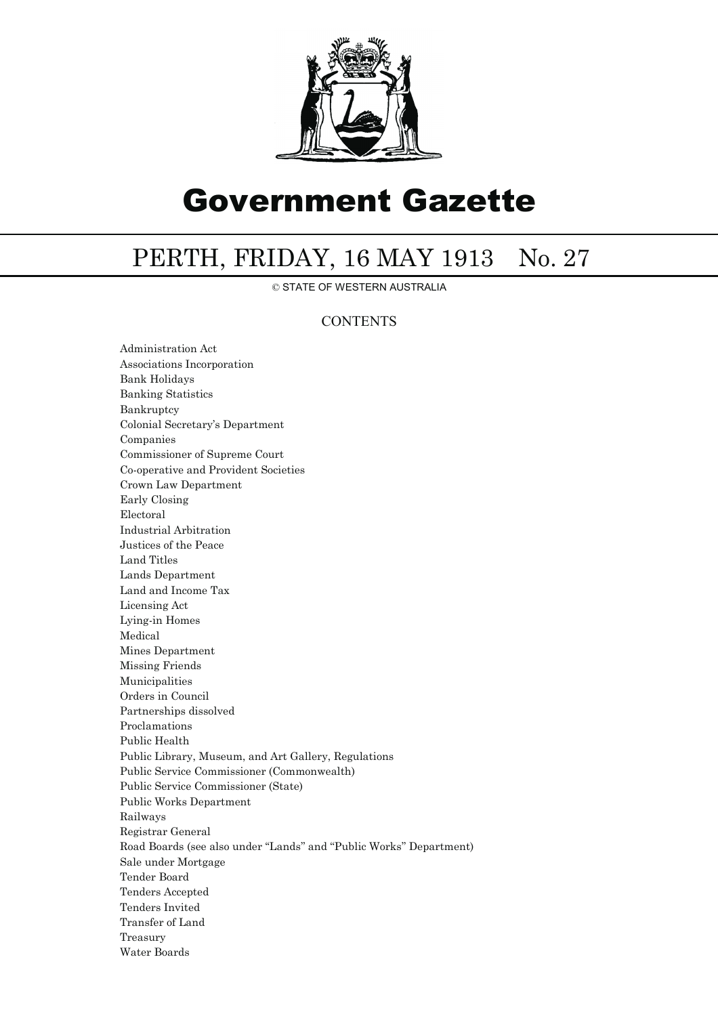

## Government Gazette

## PERTH, FRIDAY, 16 MAY 1913 No. 27

© STATE OF WESTERN AUSTRALIA

## **CONTENTS**

Administration Act Associations Incorporation Bank Holidays Banking Statistics Bankruptcy Colonial Secretary's Department Companies Commissioner of Supreme Court Co-operative and Provident Societies Crown Law Department Early Closing Electoral Industrial Arbitration Justices of the Peace Land Titles Lands Department Land and Income Tax Licensing Act Lying-in Homes Medical Mines Department Missing Friends Municipalities Orders in Council Partnerships dissolved Proclamations Public Health Public Library, Museum, and Art Gallery, Regulations Public Service Commissioner (Commonwealth) Public Service Commissioner (State) Public Works Department Railways Registrar General Road Boards (see also under ''Lands'' and ''Public Works'' Department) Sale under Mortgage Tender Board Tenders Accepted Tenders Invited Transfer of Land Treasury Water Boards